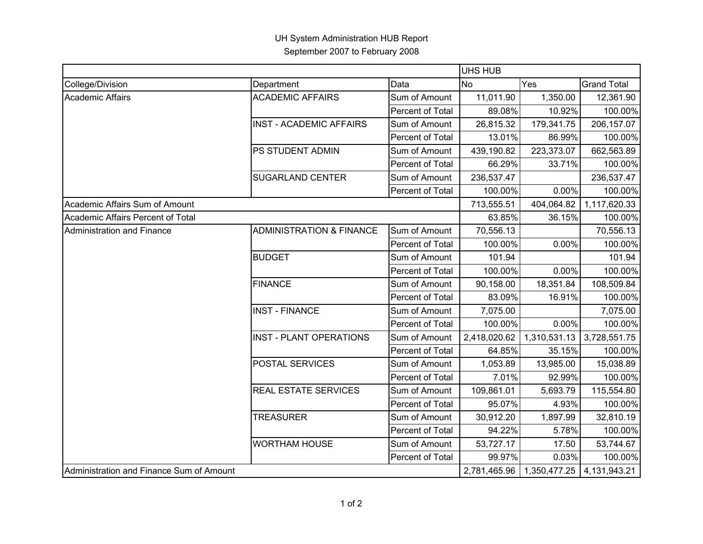## UH System Administration HUB Report September 2007 to February 2008

|                                          |                                     |                  | <b>UHS HUB</b> |              |                    |  |
|------------------------------------------|-------------------------------------|------------------|----------------|--------------|--------------------|--|
| College/Division                         | Department                          | Data             | <b>No</b>      | Yes          | <b>Grand Total</b> |  |
| <b>Academic Affairs</b>                  | <b>ACADEMIC AFFAIRS</b>             | Sum of Amount    | 11,011.90      | 1,350.00     | 12,361.90          |  |
|                                          |                                     | Percent of Total | 89.08%         | 10.92%       | 100.00%            |  |
|                                          | <b>INST - ACADEMIC AFFAIRS</b>      | Sum of Amount    | 26,815.32      | 179,341.75   | 206,157.07         |  |
|                                          |                                     | Percent of Total | 13.01%         | 86.99%       | 100.00%            |  |
|                                          | PS STUDENT ADMIN                    | Sum of Amount    | 439,190.82     | 223,373.07   | 662,563.89         |  |
|                                          |                                     | Percent of Total | 66.29%         | 33.71%       | 100.00%            |  |
|                                          | <b>SUGARLAND CENTER</b>             | Sum of Amount    | 236,537.47     |              | 236,537.47         |  |
|                                          |                                     | Percent of Total | 100.00%        | 0.00%        | 100.00%            |  |
| Academic Affairs Sum of Amount           |                                     |                  | 713,555.51     | 404,064.82   | 1,117,620.33       |  |
| Academic Affairs Percent of Total        |                                     |                  | 63.85%         | 36.15%       | 100.00%            |  |
| Administration and Finance               | <b>ADMINISTRATION &amp; FINANCE</b> | Sum of Amount    | 70,556.13      |              | 70,556.13          |  |
|                                          |                                     | Percent of Total | 100.00%        | 0.00%        | 100.00%            |  |
|                                          | <b>BUDGET</b>                       | Sum of Amount    | 101.94         |              | 101.94             |  |
|                                          |                                     | Percent of Total | 100.00%        | 0.00%        | 100.00%            |  |
|                                          | <b>FINANCE</b>                      | Sum of Amount    | 90,158.00      | 18,351.84    | 108,509.84         |  |
|                                          |                                     | Percent of Total | 83.09%         | 16.91%       | 100.00%            |  |
|                                          | <b>INST - FINANCE</b>               | Sum of Amount    | 7,075.00       |              | 7,075.00           |  |
|                                          |                                     | Percent of Total | 100.00%        | 0.00%        | 100.00%            |  |
|                                          | <b>INST - PLANT OPERATIONS</b>      | Sum of Amount    | 2,418,020.62   | 1,310,531.13 | 3,728,551.75       |  |
|                                          |                                     | Percent of Total | 64.85%         | 35.15%       | 100.00%            |  |
|                                          | POSTAL SERVICES                     | Sum of Amount    | 1,053.89       | 13,985.00    | 15,038.89          |  |
|                                          |                                     | Percent of Total | 7.01%          | 92.99%       | 100.00%            |  |
|                                          | REAL ESTATE SERVICES                | Sum of Amount    | 109,861.01     | 5,693.79     | 115,554.80         |  |
|                                          |                                     | Percent of Total | 95.07%         | 4.93%        | 100.00%            |  |
|                                          | <b>TREASURER</b>                    | Sum of Amount    | 30,912.20      | 1,897.99     | 32,810.19          |  |
|                                          |                                     | Percent of Total | 94.22%         | 5.78%        | 100.00%            |  |
|                                          | <b>WORTHAM HOUSE</b>                | Sum of Amount    | 53,727.17      | 17.50        | 53,744.67          |  |
|                                          |                                     | Percent of Total | 99.97%         | 0.03%        | 100.00%            |  |
| Administration and Finance Sum of Amount |                                     |                  | 2,781,465.96   | 1,350,477.25 | 4,131,943.21       |  |